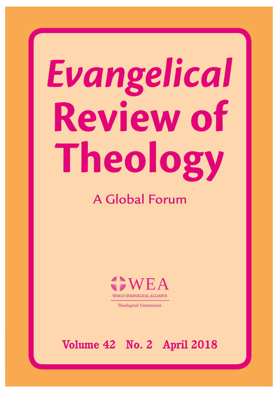# Evangelical Review of Theology

# A Global Forum



*Theological Commission*

**Volume 42 No. 2 April 2018**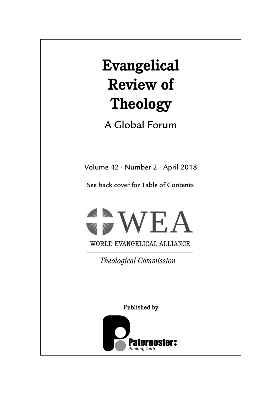# **Evangelical Review of Theology**

A Global Forum

Volume 42 • Number 2 • April 2018

See back cover for Table of Contents



WORLD EVANGELICAL ALLIANCE

*Theological Commission*

Published by

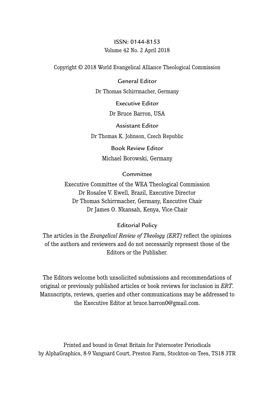## ISSN: 0144-8153 Volume 42 No. 2 April 2018

Copyright © 2018 World Evangelical Alliance Theological Commission

#### General Editor

Dr Thomas Schirrmacher, Germany

Executive Editor

Dr Bruce Barron, USA

Assistant Editor

Dr Thomas K. Johnson, Czech Republic

Book Review Editor Michael Borowski, Germany

#### **Committee**

Executive Committee of the WEA Theological Commission Dr Rosalee V. Ewell, Brazil, Executive Director Dr Thomas Schirrmacher, Germany, Executive Chair Dr James O. Nkansah, Kenya, Vice-Chair

#### Editorial Policy

The articles in the *Evangelical Review of Theology (ERT)* reflect the opinions of the authors and reviewers and do not necessarily represent those of the Editors or the Publisher.

The Editors welcome both unsolicited submissions and recommendations of original or previously published articles or book reviews for inclusion in *ERT*. Manuscripts, reviews, queries and other communications may be addressed to the Executive Editor at bruce.barron0@gmail.com.

Printed and bound in Great Britain for Paternoster Periodicals by AlphaGraphics, 8-9 Vanguard Court, Preston Farm, Stockton-on-Tees, TS18 3TR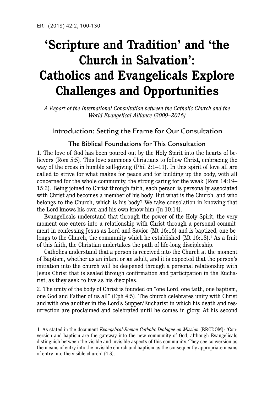# **'Scripture and Tradition' and 'the Church in Salvation': Catholics and Evangelicals Explore Challenges and Opportunities**

*A Report of the International Consultation between the Catholic Church and the World Evangelical Alliance (2009–2016)*

# Introduction: Setting the Frame for Our Consultation

## The Biblical Foundations for This Consultation

1. The love of God has been poured out by the Holy Spirit into the hearts of believers (Rom 5:5). This love summons Christians to follow Christ, embracing the way of the cross in humble self-giving (Phil 2:1–11). In this spirit of love all are called to strive for what makes for peace and for building up the body, with all concerned for the whole community, the strong caring for the weak (Rom 14:19– 15:2). Being joined to Christ through faith, each person is personally associated with Christ and becomes a member of his body. But what is the Church, and who belongs to the Church, which is his body? We take consolation in knowing that the Lord knows his own and his own know him (Jn 10:14).

Evangelicals understand that through the power of the Holy Spirit, the very moment one enters into a relationship with Christ through a personal commitment in confessing Jesus as Lord and Savior (Mt 16:16) and is baptized, one belongs to the Church, the community which he established  $(Mt 16:18)$ .<sup>1</sup> As a fruit of this faith, the Christian undertakes the path of life-long discipleship.

Catholics understand that a person is received into the Church at the moment of Baptism, whether as an infant or an adult, and it is expected that the person's initiation into the church will be deepened through a personal relationship with Jesus Christ that is sealed through confirmation and participation in the Eucharist, as they seek to live as his disciples.

2. The unity of the body of Christ is founded on "one Lord, one faith, one baptism, one God and Father of us all" (Eph 4:5). The church celebrates unity with Christ and with one another in the Lord's Supper/Eucharist in which his death and resurrection are proclaimed and celebrated until he comes in glory. At his second

**<sup>1</sup>** As stated in the document *Evangelical-Roman Catholic Dialogue on Mission* (ERCDOM): 'Conversion and baptism are the gateway into the new community of God, although Evangelicals distinguish between the visible and invisible aspects of this community. They see conversion as the means of entry into the invisible church and baptism as the consequently appropriate means of entry into the visible church' (4.3).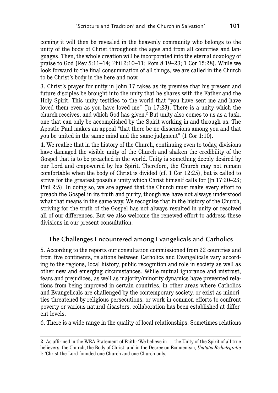coming it will then be revealed in the heavenly community who belongs to the unity of the body of Christ throughout the ages and from all countries and languages. Then, the whole creation will be incorporated into the eternal doxology of praise to God (Rev 5:11–14; Phil 2:10–11; Rom 8:19–23; 1 Cor 15:28). While we look forward to the final consummation of all things, we are called in the Church to be Christ's body in the here and now.

3. Christ's prayer for unity in John 17 takes as its premise that his present and future disciples be brought into the unity that he shares with the Father and the Holy Spirit. This unity testifies to the world that "you have sent me and have loved them even as you have loved me" (Jn 17:23). There is a unity which the church receives, and which God has given.<sup>2</sup> But unity also comes to us as a task, one that can only be accomplished by the Spirit working in and through us. The Apostle Paul makes an appeal "that there be no dissensions among you and that you be united in the same mind and the same judgment" (1 Cor 1:10).

4. We realize that in the history of the Church, continuing even to today, divisions have damaged the visible unity of the Church and shaken the credibility of the Gospel that is to be preached in the world. Unity is something deeply desired by our Lord and empowered by his Spirit. Therefore, the Church may not remain comfortable when the body of Christ is divided (cf. 1 Cor 12:25), but is called to strive for the greatest possible unity which Christ himself calls for (Jn 17:20–23; Phil 2:5). In doing so, we are agreed that the Church must make every effort to preach the Gospel in its truth and purity, though we have not always understood what that means in the same way. We recognize that in the history of the Church, striving for the truth of the Gospel has not always resulted in unity or resolved all of our differences. But we also welcome the renewed effort to address these divisions in our present consultation.

# The Challenges Encountered among Evangelicals and Catholics

5. According to the reports our consultation commissioned from 22 countries and from five continents, relations between Catholics and Evangelicals vary according to the regions, local history, public recognition and role in society as well as other new and emerging circumstances. While mutual ignorance and mistrust, fears and prejudices, as well as majority/minority dynamics have prevented relations from being improved in certain countries, in other areas where Catholics and Evangelicals are challenged by the contemporary society, or exist as minorities threatened by religious persecutions, or work in common efforts to confront poverty or various natural disasters, collaboration has been established at different levels.

6. There is a wide range in the quality of local relationships. Sometimes relations

**<sup>2</sup>** As affirmed in the WEA Statement of Faith: 'We believe in … the Unity of the Spirit of all true believers, the Church, the Body of Christ' and in the Decree on Ecumenism, *Unitatis Redintegratio*  l: 'Christ the Lord founded one Church and one Church only.'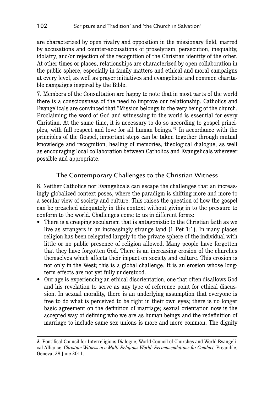are characterized by open rivalry and opposition in the missionary field, marred by accusations and counter-accusations of proselytism, persecution, inequality, idolatry, and/or rejection of the recognition of the Christian identity of the other. At other times or places, relationships are characterized by open collaboration in the public sphere, especially in family matters and ethical and moral campaigns at every level, as well as prayer initiatives and evangelistic and common charitable campaigns inspired by the Bible.

7. Members of the Consultation are happy to note that in most parts of the world there is a consciousness of the need to improve our relationship. Catholics and Evangelicals are convinced that "Mission belongs to the very being of the church. Proclaiming the word of God and witnessing to the world is essential for every Christian. At the same time, it is necessary to do so according to gospel principles, with full respect and love for all human beings."3 In accordance with the principles of the Gospel, important steps can be taken together through mutual knowledge and recognition, healing of memories, theological dialogue, as well as encouraging local collaboration between Catholics and Evangelicals wherever possible and appropriate.

# The Contemporary Challenges to the Christian Witness

8. Neither Catholics nor Evangelicals can escape the challenges that an increasingly globalized context poses, where the paradigm is shifting more and more to a secular view of society and culture. This raises the question of how the gospel can be preached adequately in this context without giving in to the pressure to conform to the world. Challenges come to us in different forms:

- There is a creeping secularism that is antagonistic to the Christian faith as we live as strangers in an increasingly strange land (1 Pet 1:1). In many places religion has been relegated largely to the private sphere of the individual with little or no public presence of religion allowed. Many people have forgotten that they have forgotten God. There is an increasing erosion of the churches themselves which affects their impact on society and culture. This erosion is not only in the West; this is a global challenge. It is an erosion whose longterm effects are not yet fully understood.
- Our age is experiencing an ethical disorientation, one that often disallows God and his revelation to serve as any type of reference point for ethical discussion. In sexual morality, there is an underlying assumption that everyone is free to do what is perceived to be right in their own eyes; there is no longer basic agreement on the definition of marriage; sexual orientation now is the accepted way of defining who we are as human beings and the redefinition of marriage to include same-sex unions is more and more common. The dignity

**<sup>3</sup>** Pontifical Council for Interreligious Dialogue, World Council of Churches and World Evangelical Alliance, *Christian Witness in a Multi-Religious World: Recommendations far Conduct,* Preamble, Geneva, 28 June 2011.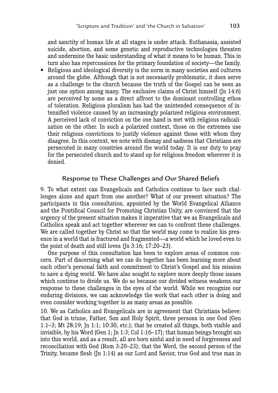and sanctity of human life at all stages is under attack. Euthanasia, assisted suicide, abortion, and some genetic and reproductive technologies threaten and undermine the basic understanding of what it means to be human. This in turn also has repercussions for the primary foundation of society—the family.

• Religious and ideological diversity is the norm in many societies and cultures around the globe. Although that is not necessarily problematic, it does serve as a challenge to the church because the truth of the Gospel can be seen as just one option among many. The exclusive claims of Christ himself (Jn 14:6) are perceived by some as a direct affront to the dominant controlling ethos of toleration. Religious pluralism has had the unintended consequence of intensified violence caused by an increasingly polarized religious environment. A perceived lack of conviction on the one hand is met with religious radicalization on the other. In such a polarized context, those on the extremes use their religious convictions to justify violence against those with whom they disagree. In this context, we note with dismay and sadness that Christians are persecuted in many countries around the world today. It is our duty to pray for the persecuted church and to stand up for religious freedom wherever it is denied.

#### Response to These Challenges and Our Shared Beliefs

9. To what extent can Evangelicals and Catholics continue to face such challenges alone and apart from one another? What of our present situation? The participants in this consultation, appointed by the World Evangelical Alliance and the Pontifical Council for Promoting Christian Unity, are convinced that the urgency of the present situation makes it imperative that we as Evangelicals and Catholics speak and act together wherever we can to confront these challenges. We are called together by Christ so that the world may come to realize his presence in a world that is fractured and fragmented—a world which he loved even to the point of death and still loves ( $\text{In } 3:16$ ; 17:20–23).

One purpose of this consultation has been to explore areas of common concern. Part of discerning what we can do together has been learning more about each other's personal faith and commitment to Christ's Gospel and his mission to save a dying world. We have also sought to explore more deeply those issues which continue to divide us. We do so because our divided witness weakens our response to these challenges in the eyes of the world. While we recognize our enduring divisions, we can acknowledge the work that each other is doing and even consider working together in as many areas as possible.

10. We as Catholics and Evangelicals are in agreement that Christians believe: that God is triune, Father, Son and Holy Spirit, three persons in one God (Gen 1:1–3; Mt 28:19; Jn 1:1; 10:30, etc.); that he created all things, both visible and invisible, by his Word (Gen 1; Jn 1:3; Col 1:16–17); that human beings brought sin into this world, and as a result, all are born sinful and in need of forgiveness and reconciliation with God (Rom 3:20–23); that the Word, the second person of the Trinity, became flesh (Jn 1:14) as our Lord and Savior, true God and true man in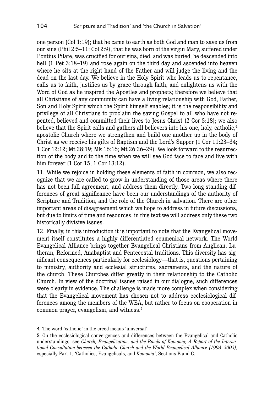one person (Col 1:19); that he came to earth as both God and man to save us from our sins (Phil 2:5–11; Col 2:9), that he was born of the virgin Mary, suffered under Pontius Pilate, was crucified for our sins, died, and was buried, he descended into hell (1 Pet 3:18–19) and rose again on the third day and ascended into heaven where he sits at the right hand of the Father and will judge the living and the dead on the last day. We believe in the Holy Spirit who leads us to repentance, calls us to faith, justifies us by grace through faith, and enlightens us with the Word of God as he inspired the Apostles and prophets; therefore we believe that all Christians of any community can have a living relationship with God, Father, Son and Holy Spirit which the Spirit himself enables; it is the responsibility and privilege of all Christians to proclaim the saving Gospel to all who have not repented, believed and committed their lives to Jesus Christ (2 Cor 5:18); we also believe that the Spirit calls and gathers all believers into his one, holy, catholic,<sup>4</sup> apostolic Church where we strengthen and build one another up in the body of Christ as we receive his gifts of Baptism and the Lord's Supper (1 Cor 11:23–34; 1 Cor 12:12; Mt 28:19; Mk 16:16; Mt 26:26–29). We look forward to the resurrection of the body and to the time when we will see God face to face and live with him forever (1 Cor 15; 1 Cor 13:12).

11. While we rejoice in holding these elements of faith in common, we also recognize that we are called to grow in understanding of those areas where there has not been full agreement, and address them directly. Two long-standing differences of great significance have been our understandings of the authority of Scripture and Tradition, and the role of the Church in salvation. There are other important areas of disagreement which we hope to address in future discussions, but due to limits of time and resources, in this text we will address only these two historically divisive issues.

12. Finally, in this introduction it is important to note that the Evangelical movement itself constitutes a highly differentiated ecumenical network. The World Evangelical Alliance brings together Evangelical Christians from Anglican, Lutheran, Reformed, Anabaptist and Pentecostal traditions. This diversity has significant consequences particularly for ecclesiology—that is, questions pertaining to ministry, authority and ecclesial structures, sacraments, and the nature of the church. These Churches differ greatly in their relationship to the Catholic Church. In view of the doctrinal issues raised in our dialogue, such differences were clearly in evidence. The challenge is made more complex when considering that the Evangelical movement has chosen not to address ecclesiological differences among the members of the WEA, but rather to focus on cooperation in common prayer, evangelism, and witness.5

**<sup>4</sup>** The word 'catholic' in the creed means 'universal'.

**<sup>5</sup>** On the ecclesiological convergences and differences between the Evangelical and Catholic understandings, see *Church, Evangelization, and the Bonds of Koinonia; A Report of the International Consultation between the Catholic Church and the World Evangelical Alliance (1993–2002),*  especially Part 1, 'Catholics, Evangelicals, and *Koinonia'*, Sections B and C.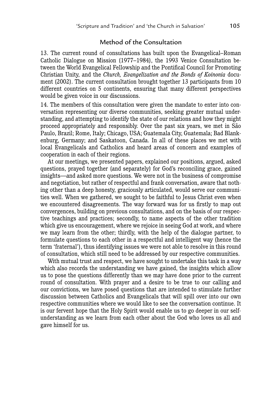#### Method of the Consultation

13. The current round of consultations has built upon the Evangelical–Roman Catholic Dialogue on Mission (1977–1984), the 1993 Venice Consultation between the World Evangelical Fellowship and the Pontifical Council for Promoting Christian Unity, and the *Church, Evangelization and the Bonds of Koinonia* document (2002). The current consultation brought together 13 participants from 10 different countries on 5 continents, ensuring that many different perspectives would be given voice in our discussions.

14. The members of this consultation were given the mandate to enter into conversation representing our diverse communities, seeking greater mutual understanding, and attempting to identify the state of our relations and how they might proceed appropriately and responsibly. Over the past six years, we met in São Paulo, Brazil; Rome, Italy; Chicago, USA; Guatemala City, Guatemala; Bad Blankenburg, Germany; and Saskatoon, Canada. In all of these places we met with local Evangelicals and Catholics and heard areas of concern and examples of cooperation in each of their regions.

At our meetings, we presented papers, explained our positions, argued, asked questions, prayed together (and separately) for God's reconciling grace, gained insights—and asked more questions. We were not in the business of compromise and negotiation, but rather of respectful and frank conversation, aware that nothing other than a deep honesty, graciously articulated, would serve our communities well. When we gathered, we sought to be faithful to Jesus Christ even when we encountered disagreements. The way forward was for us firstly to map out convergences, building on previous consultations, and on the basis of our respective teachings and practices; secondly, to name aspects of the other tradition which give us encouragement, where we rejoice in seeing God at work, and where we may learn from the other; thirdly, with the help of the dialogue partner, to formulate questions to each other in a respectful and intelligent way (hence the term 'fraternal'), thus identifying issues we were not able to resolve in this round of consultation, which still need to be addressed by our respective communities.

With mutual trust and respect, we have sought to undertake this task in a way which also records the understanding we have gained, the insights which allow us to pose the questions differently than we may have done prior to the current round of consultation. With prayer and a desire to be true to our calling and our convictions, we have posed questions that are intended to stimulate further discussion between Catholics and Evangelicals that will spill over into our own respective communities where we would like to see the conversation continue. It is our fervent hope that the Holy Spirit would enable us to go deeper in our selfunderstanding as we learn from each other about the God who loves us all and gave himself for us.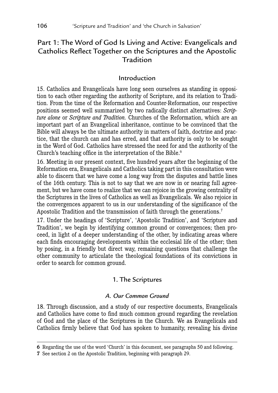# Part 1: The Word of God Is Living and Active: Evangelicals and Catholics Reflect Together on the Scriptures and the Apostolic **Tradition**

## Introduction

15. Catholics and Evangelicals have long seen ourselves as standing in opposition to each other regarding the authority of Scripture, and its relation to Tradition. From the time of the Reformation and Counter-Reformation, our respective positions seemed well summarized by two radically distinct alternatives: *Scripture alone* or *Scripture and Tradition.* Churches of the Reformation, which are an important part of an Evangelical inheritance, continue to be convinced that the Bible will always be the ultimate authority in matters of faith, doctrine and practice, that the church can and has erred, and that authority is only to be sought in the Word of God. Catholics have stressed the need for and the authority of the Church's teaching office in the interpretation of the Bible.<sup>6</sup>

16. Meeting in our present context, five hundred years after the beginning of the Reformation era, Evangelicals and Catholics taking part in this consultation were able to discern that we have come a long way from the disputes and battle lines of the 16th century. This is not to say that we are now in or nearing full agreement, but we have come to realize that we can rejoice in the growing centrality of the Scriptures in the lives of Catholics as well as Evangelicals. We also rejoice in the convergences apparent to us in our understanding of the significance of the Apostolic Tradition and the transmission of faith through the generations.<sup>7</sup>

17. Under the headings of 'Scripture', 'Apostolic Tradition', and 'Scripture and Tradition', we begin by identifying common ground or convergences; then proceed, in light of a deeper understanding of the other, by indicating areas where each finds encouraging developments within the ecclesial life of the other; then by posing, in a friendly but direct way, remaining questions that challenge the other community to articulate the theological foundations of its convictions in order to search for common ground.

# 1. The Scriptures

#### *A. Our Common Ground*

18. Through discussion, and a study of our respective documents, Evangelicals and Catholics have come to find much common ground regarding the revelation of God and the place of the Scriptures in the Church. We as Evangelicals and Catholics firmly believe that God has spoken to humanity, revealing his divine

**<sup>6</sup>** Regarding the use of the word 'Church' in this document, see paragraphs 50 and following.

**<sup>7</sup>** See section 2 on the Apostolic Tradition, beginning with paragraph 29.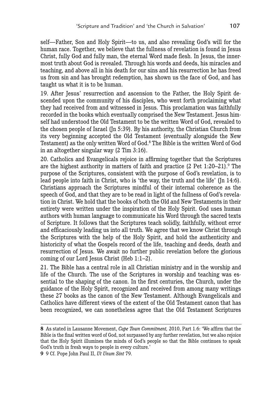self—Father, Son and Holy Spirit—to us, and also revealing God's will for the human race. Together, we believe that the fullness of revelation is found in Jesus Christ, fully God and fully man, the eternal Word made flesh. In Jesus, the innermost truth about God is revealed. Through his words and deeds, his miracles and teaching, and above all in his death for our sins and his resurrection he has freed us from sin and has brought redemption, has shown us the face of God, and has taught us what it is to be human.

19. After Jesus' resurrection and ascension to the Father, the Holy Spirit descended upon the community of his disciples, who went forth proclaiming what they had received from and witnessed in Jesus. This proclamation was faithfully recorded in the books which eventually comprised the New Testament. Jesus himself had understood the Old Testament to be the written Word of God, revealed to the chosen people of Israel (Jn 5:39). By his authority, the Christian Church from its very beginning accepted the Old Testament (eventually alongside the New Testament) as the only written Word of God.<sup>8</sup> The Bible is the written Word of God in an altogether singular way (2 Tim 3:16).

20. Catholics and Evangelicals rejoice in affirming together that the Scriptures are the highest authority in matters of faith and practice  $(2 \text{ Pet } 1:20-21)$ . The purpose of the Scriptures, consistent with the purpose of God's revelation, is to lead people into faith in Christ, who is 'the way, the truth and the life' (Jn 14:6). Christians approach the Scriptures mindful of their internal coherence as the speech of God, and that they are to be read in light of the fullness of God's revelation in Christ. We hold that the books of both the Old and New Testaments in their entirety were written under the inspiration of the Holy Spirit. God uses human authors with human language to communicate his Word through the sacred texts of Scripture. It follows that the Scriptures teach solidly, faithfully, without error and efficaciously leading us into all truth. We agree that we know Christ through the Scriptures with the help of the Holy Spirit, and hold the authenticity and historicity of what the Gospels record of the life, teaching and deeds, death and resurrection of Jesus. We await no further public revelation before the glorious coming of our Lord Jesus Christ (Heb 1:1–2).

21. The Bible has a central role in all Christian ministry and in the worship and life of the Church. The use of the Scriptures in worship and teaching was essential to the shaping of the canon. In the first centuries, the Church, under the guidance of the Holy Spirit, recognized and received from among many writings these 27 books as the canon of the New Testament. Although Evangelicals and Catholics have different views of the extent of the Old Testament canon that has been recognized, we can nonetheless agree that the Old Testament Scriptures

**9** 9 Cf. Pope John Paul II, *Ut Unum Sint* 79.

**<sup>8</sup>** As stated in Lausanne Movement, *Cape Town Commitment,* 2010, Part 1.6: 'We affirm that the Bible is the final written word of God, not surpassed by any further revelation, but we also rejoice that the Holy Spirit illumines the minds of God's people so that the Bible continues to speak God's truth in fresh ways to people in every culture.'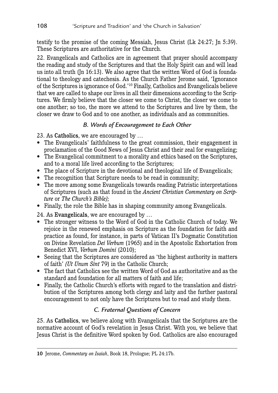testify to the promise of the coming Messiah, Jesus Christ (Lk 24:27; Jn 5:39). These Scriptures are authoritative for the Church.

22. Evangelicals and Catholics are in agreement that prayer should accompany the reading and study of the Scriptures and that the Holy Spirit can and will lead us into all truth (Jn 16:13). We also agree that the written Word of God is foundational to theology and catechesis. As the Church Father Jerome said, 'Ignorance of the Scriptures is ignorance of God.'10 Finally, Catholics and Evangelicals believe that we are called to shape our lives in all their dimensions according to the Scriptures. We firmly believe that the closer we come to Christ, the closer we come to one another; so too, the more we attend to the Scriptures and live by them, the closer we draw to God and to one another, as individuals and as communities.

# *B. Words of Encouragement to Each Other*

23. As Catholics, we are encouraged by …

- The Evangelicals' faithfulness to the great commission, their engagement in proclamation of the Good News of Jesus Christ and their zeal for evangelizing;
- The Evangelical commitment to a morality and ethics based on the Scriptures, and to a moral life lived according to the Scriptures;
- The place of Scripture in the devotional and theological life of Evangelicals;
- The recognition that Scripture needs to be read in community;
- The move among some Evangelicals towards reading Patristic interpretations of Scriptures (such as that found in the *Ancient Christian Commentary on Scripture* or *The Church's Bible);*
- Finally, the role the Bible has in shaping community among Evangelicals.

24. As Evangelicals, we are encouraged by …

- The stronger witness to the Word of God in the Catholic Church of today. We rejoice in the renewed emphasis on Scripture as the foundation for faith and practice as found, for instance, in parts of Vatican II's Dogmatic Constitution on Divine Revelation *Dei Verbum* (1965) and in the Apostolic Exhortation from Benedict XVI, *Verbum Domini* (2010);
- Seeing that the Scriptures are considered as 'the highest authority in matters of faith' *(Ut Unum Sint* 79) in the Catholic Church;
- The fact that Catholics see the written Word of God as authoritative and as the standard and foundation for all matters of faith and life;
- Finally, the Catholic Church's efforts with regard to the translation and distribution of the Scriptures among both clergy and laity and the further pastoral encouragement to not only have the Scriptures but to read and study them.

# *C. Fraternal Questions of Concern*

25. As Catholics, we believe along with Evangelicals that the Scriptures are the normative account of God's revelation in Jesus Christ. With you, we believe that Jesus Christ is the definitive Word spoken by God. Catholics are also encouraged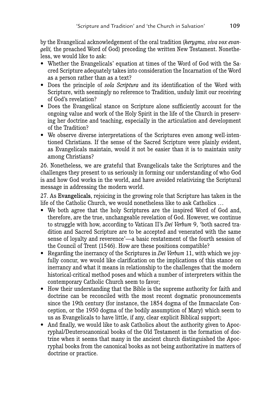by the Evangelical acknowledgement of the oral tradition (*kerygma, viva vox evangelii*, the preached Word of God) preceding the written New Testament. Nonetheless, we would like to ask:

- Whether the Evangelicals' equation at times of the Word of God with the Sacred Scripture adequately takes into consideration the Incarnation of the Word as a person rather than as a text?
- Does the principle of *sola Scriptura* and its identification of the Word with Scripture, with seemingly no reference to Tradition, unduly limit our receiving of God's revelation?
- Does the Evangelical stance on Scripture alone sufficiently account for the ongoing value and work of the Holy Spirit in the life of the Church in preserving her doctrine and teaching, especially in the articulation and development of the Tradition?
- We observe diverse interpretations of the Scriptures even among well-intentioned Christians. If the sense of the Sacred Scripture were plainly evident, as Evangelicals maintain, would it not be easier than it is to maintain unity among Christians?

26. Nonetheless, we are grateful that Evangelicals take the Scriptures and the challenges they present to us seriously in forming our understanding of who God is and how God works in the world, and have avoided relativizing the Scriptural message in addressing the modern world.

27. As Evangelicals, rejoicing in the growing role that Scripture has taken in the life of the Catholic Church, we would nonetheless like to ask Catholics …

- We both agree that the holy Scriptures are the inspired Word of God and, therefore, are the true, unchangeable revelation of God. However, we continue to struggle with how, according to Vatican II's *Dei Verbum* 9, 'both sacred tradition and Sacred Scripture are to be accepted and venerated with the same sense of loyalty and reverence'—a basic restatement of the fourth session of the Council of Trent (1546). How are these positions compatible?
- Regarding the inerrancy of the Scriptures in *Dei Verbum* 11, with which we joyfully concur, we would like clarification on the implications of this stance on inerrancy and what it means in relationship to the challenges that the modern historical-critical method poses and which a number of interpreters within the contemporary Catholic Church seem to favor;
- How their understanding that the Bible is the supreme authority for faith and doctrine can be reconciled with the most recent dogmatic pronouncements since the 19th century (for instance, the 1854 dogma of the Immaculate Conception, or the 1950 dogma of the bodily assumption of Mary) which seem to us as Evangelicals to have little, if any, clear explicit Biblical support;
- And finally, we would like to ask Catholics about the authority given to Apocryphal/Deuterocanonical books of the Old Testament in the formation of doctrine when it seems that many in the ancient church distinguished the Apocryphal books from the canonical books as not being authoritative in matters of doctrine or practice.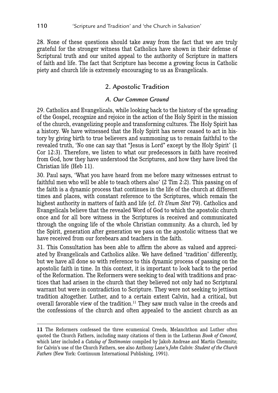28. None of these questions should take away from the fact that we are truly grateful for the stronger witness that Catholics have shown in their defense of Scriptural truth and our united appeal to the authority of Scripture in matters of faith and life. The fact that Scripture has become a growing focus in Catholic piety and church life is extremely encouraging to us as Evangelicals.

# 2. Apostolic Tradition

#### *A. Our Common Ground*

29. Catholics and Evangelicals, while looking back to the history of the spreading of the Gospel, recognize and rejoice in the action of the Holy Spirit in the mission of the church, evangelizing people and transforming cultures. The Holy Spirit has a history. We have witnessed that the Holy Spirit has never ceased to act in history by giving birth to true believers and summoning us to remain faithful to the revealed truth, 'No one can say that "Jesus is Lord" except by the Holy Spirit' (1 Cor 12:3). Therefore, we listen to what our predecessors in faith have received from God, how they have understood the Scriptures, and how they have lived the Christian life (Heb 11).

30. Paul says, 'What you have heard from me before many witnesses entrust to faithful men who will be able to teach others also' (2 Tim 2:2). This passing on of the faith is a dynamic process that continues in the life of the church at different times and places, with constant reference to the Scriptures, which remain the highest authority in matters of faith and life (cf. *Ut Unum Sint* 79). Catholics and Evangelicals believe that the revealed Word of God to which the apostolic church once and for all bore witness in the Scriptures is received and communicated through the ongoing life of the whole Christian community. As a church, led by the Spirit, generation after generation we pass on the apostolic witness that we have received from our forebears and teachers in the faith.

31. This Consultation has been able to affirm the above as valued and appreciated by Evangelicals and Catholics alike. We have defined 'tradition' differently, but we have all done so with reference to this dynamic process of passing on the apostolic faith in time. In this context, it is important to look back to the period of the Reformation. The Reformers were seeking to deal with traditions and practices that had arisen in the church that they believed not only had no Scriptural warrant but were in contradiction to Scripture. They were not seeking to jettison tradition altogether. Luther, and to a certain extent Calvin, had a critical, but overall favorable view of the tradition.<sup>11</sup> They saw much value in the creeds and the confessions of the church and often appealed to the ancient church as an

**<sup>11</sup>** The Reformers confessed the three ecumenical Creeds, Melanchthon and Luther often quoted the Church Fathers, including many citations of them in the Lutheran *Book of Concord,*  which later included a *Catalog of Testimonies* compiled by Jakob Andreae and Martin Chemnitz; for Calvin's use of the Church Fathers, see also Anthony Lane's *John Calvin: Student of the Church Fathers* (New York: Continuum International Publishing, 1991).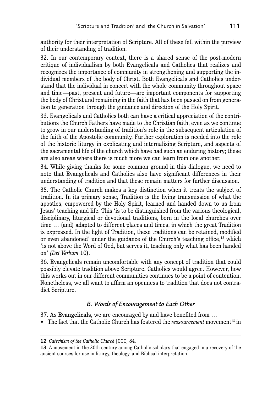authority for their interpretation of Scripture. All of these fell within the purview of their understanding of tradition.

32. In our contemporary context, there is a shared sense of the post-modern critique of individualism by both Evangelicals and Catholics that realizes and recognizes the importance of community in strengthening and supporting the individual members of the body of Christ. Both Evangelicals and Catholics understand that the individual in concert with the whole community throughout space and time—past, present and future—are important components for supporting the body of Christ and remaining in the faith that has been passed on from generation to generation through the guidance and direction of the Holy Spirit.

33. Evangelicals and Catholics both can have a critical appreciation of the contributions the Church Fathers have made to the Christian faith, even as we continue to grow in our understanding of tradition's role in the subsequent articulation of the faith of the Apostolic community. Further exploration is needed into the role of the historic liturgy in explicating and internalizing Scripture, and aspects of the sacramental life of the church which have had such an enduring history; these are also areas where there is much more we can learn from one another.

34. While giving thanks for some common ground in this dialogue, we need to note that Evangelicals and Catholics also have significant differences in their understanding of tradition and that these remain matters for further discussion.

35. The Catholic Church makes a key distinction when it treats the subject of tradition. In its primary sense, Tradition is the living transmission of what the apostles, empowered by the Holy Spirit, learned and handed down to us from Jesus' teaching and life. This 'is to be distinguished from the various theological, disciplinary, liturgical or devotional traditions, born in the local churches over time … (and) adapted to different places and times, in which the great Tradition is expressed. In the light of Tradition, these traditions can be retained, modified or even abandoned' under the guidance of the Church's teaching office,<sup>12</sup> which 'is not above the Word of God, but serves it, teaching only what has been handed on' *(Dei Verbum* 10).

36. Evangelicals remain uncomfortable with any concept of tradition that could possibly elevate tradition above Scripture. Catholics would agree. However, how this works out in our different communities continues to be a point of contention. Nonetheless, we all want to affirm an openness to tradition that does not contradict Scripture.

# *B. Words of Encouragement to Each Other*

37. As Evangelicals, we are encouraged by and have benefited from …

• The fact that the Catholic Church has fostered the *ressourcement* movement<sup>13</sup> in

**<sup>12</sup>** *Catechism of the Catholic Church* [CCC] 84.

**<sup>13</sup>** A movement in the 20th century among Catholic scholars that engaged in a recovery of the ancient sources for use in liturgy, theology, and Biblical interpretation.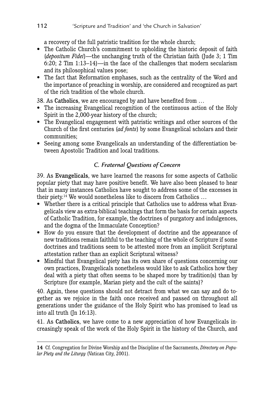a recovery of the full patristic tradition for the whole church;

- The Catholic Church's commitment to upholding the historic deposit of faith (*depositum Fidei*)—the unchanging truth of the Christian faith (Jude 3; 1 Tim 6:20; 2 Tim 1:13–14)—in the face of the challenges that modern secularism and its philosophical values pose;
- The fact that Reformation emphases, such as the centrality of the Word and the importance of preaching in worship, are considered and recognized as part of the rich tradition of the whole church.

38. As Catholics, we are encouraged by and have benefited from …

- The increasing Evangelical recognition of the continuous action of the Holy Spirit in the 2,000-year history of the church;
- The Evangelical engagement with patristic writings and other sources of the Church of the first centuries (*ad fonts*) by some Evangelical scholars and their communities;
- Seeing among some Evangelicals an understanding of the differentiation between Apostolic Tradition and local traditions.

# *C. Fraternal Questions of Concern*

39. As Evangelicals, we have learned the reasons for some aspects of Catholic popular piety that may have positive benefit. We have also been pleased to hear that in many instances Catholics have sought to address some of the excesses in their piety.14 We would nonetheless like to discern from Catholics …

- Whether there is a critical principle that Catholics use to address what Evangelicals view as extra-biblical teachings that form the basis for certain aspects of Catholic Tradition, for example, the doctrines of purgatory and indulgences, and the dogma of the Immaculate Conception?
- How do you ensure that the development of doctrine and the appearance of new traditions remain faithful to the teaching of the whole of Scripture if some doctrines and traditions seem to be attested more from an implicit Scriptural attestation rather than an explicit Scriptural witness?
- Mindful that Evangelical piety has its own share of questions concerning our own practices, Evangelicals nonetheless would like to ask Catholics how they deal with a piety that often seems to be shaped more by tradition(s) than by Scripture (for example, Marian piety and the cult of the saints)?

40. Again, these questions should not detract from what we can say and do together as we rejoice in the faith once received and passed on throughout all generations under the guidance of the Holy Spirit who has promised to lead us into all truth (Jn 16:13).

41. As Catholics, we have come to a new appreciation of how Evangelicals increasingly speak of the work of the Holy Spirit in the history of the Church, and

**<sup>14</sup>** Cf. Congregation for Divine Worship and the Discipline of the Sacraments, *Directory on Popular Piety and the Liturgy* (Vatican City, 2001).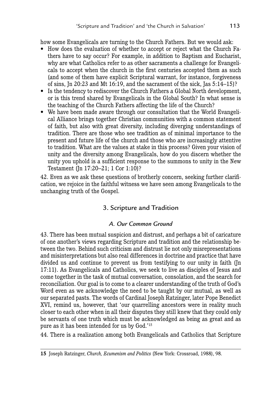how some Evangelicals are turning to the Church Fathers. But we would ask:

- How does the evaluation of whether to accept or reject what the Church Fathers have to say occur? For example, in addition to Baptism and Eucharist, why are what Catholics refer to as other sacraments a challenge for Evangelicals to accept when the church in the first centuries accepted them as such (and some of them have explicit Scriptural warrant, for instance, forgiveness of sins, Jn 20:23 and Mt 16:19, and the sacrament of the sick, Jas 5:14–15)?
- Is the tendency to rediscover the Church Fathers a Global North development, or is this trend shared by Evangelicals in the Global South? In what sense is the teaching of the Church Fathers affecting the life of the Church?
- We have been made aware through our consultation that the World Evangelical Alliance brings together Christian communities with a common statement of faith, but also with great diversity, including diverging understandings of tradition. There are those who see tradition as of minimal importance to the present and future life of the church and those who are increasingly attentive to tradition. What are the values at stake in this process? Given your vision of unity and the diversity among Evangelicals, how do you discern whether the unity you uphold is a sufficient response to the summons to unity in the New Testament (Jn 17:20–21; 1 Cor 1:10)?

42. Even as we ask these questions of brotherly concern, seeking further clarification, we rejoice in the faithful witness we have seen among Evangelicals to the unchanging truth of the Gospel.

# 3. Scripture and Tradition

# *A. Our Common Ground*

43. There has been mutual suspicion and distrust, and perhaps a bit of caricature of one another's views regarding Scripture and tradition and the relationship between the two. Behind such criticism and distrust lie not only misrepresentations and misinterpretations but also real differences in doctrine and practice that have divided us and continue to prevent us from testifying to our unity in faith (Jn 17:11). As Evangelicals and Catholics, we seek to live as disciples of Jesus and come together in the task of mutual conversation, consolation, and the search for reconciliation. Our goal is to come to a clearer understanding of the truth of God's Word even as we acknowledge the need to be taught by our mutual, as well as our separated pasts. The words of Cardinal Joseph Ratzinger, later Pope Benedict XVI, remind us, however, that 'our quarrelling ancestors were in reality much closer to each other when in all their disputes they still knew that they could only be servants of one truth which must be acknowledged as being as great and as pure as it has been intended for us by God.'15

44. There is a realization among both Evangelicals and Catholics that Scripture

**<sup>15</sup>** Joseph Ratzinger, *Church, Ecumenism and Politics* (New York: Crossroad, 1988), 98.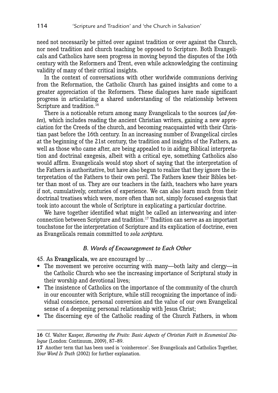need not necessarily be pitted over against tradition or over against the Church, nor need tradition and church teaching be opposed to Scripture. Both Evangelicals and Catholics have seen progress in moving beyond the disputes of the 16th century with the Reformers and Trent, even while acknowledging the continuing validity of many of their critical insights.

In the context of conversations with other worldwide communions deriving from the Reformation, the Catholic Church has gained insights and come to a greater appreciation of the Reformers. These dialogues have made significant progress in articulating a shared understanding of the relationship between Scripture and tradition.<sup>16</sup>

There is a noticeable return among many Evangelicals to the sources (*ad fontes*)*,* which includes reading the ancient Christian writers, gaining a new appreciation for the Creeds of the church, and becoming reacquainted with their Christian past before the 16th century. In an increasing number of Evangelical circles at the beginning of the 21st century, the tradition and insights of the Fathers, as well as those who came after, are being appealed to in aiding Biblical interpretation and doctrinal exegesis, albeit with a critical eye, something Catholics also would affirm. Evangelicals would stop short of saying that the interpretation of the Fathers is authoritative, but have also begun to realize that they ignore the interpretation of the Fathers to their own peril. The Fathers knew their Bibles better than most of us. They are our teachers in the faith, teachers who have years if not, cumulatively, centuries of experience. We can also learn much from their doctrinal treatises which were, more often than not, simply focused exegesis that took into account the whole of Scripture in explicating a particular doctrine.

We have together identified what might be called an interweaving and interconnection between Scripture and tradition.17 Tradition can serve as an important touchstone for the interpretation of Scripture and its explication of doctrine, even as Evangelicals remain committed to *sola scriptura.*

#### *B. Words of Encouragement to Each Other*

45. As Evangelicals, we are encouraged by …

- The movement we perceive occurring with many—both laity and clergy—in the Catholic Church who see the increasing importance of Scriptural study in their worship and devotional lives;
- The insistence of Catholics on the importance of the community of the church in our encounter with Scripture, while still recognizing the importance of individual conscience, personal conversion and the value of our own Evangelical sense of a deepening personal relationship with Jesus Christ;
- The discerning eye of the Catholic reading of the Church Fathers, in whom

**<sup>16</sup>** Cf. Walter Kasper, *Harvesting the Fruits: Basic Aspects of Christian Faith in Ecumenical Dialogue* (London: Continuum, 2009), 87–89.

**<sup>17</sup>** Another term that has been used is 'coinherence'. See Evangelicals and Catholics Together, *Your Word Is Truth* (2002) for further explanation.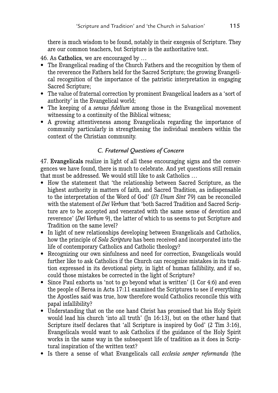there is much wisdom to be found, notably in their exegesis of Scripture. They are our common teachers, but Scripture is the authoritative text.

46. As Catholics, we are encouraged by …

- The Evangelical reading of the Church Fathers and the recognition by them of the reverence the Fathers held for the Sacred Scripture; the growing Evangelical recognition of the importance of the patristic interpretation in engaging Sacred Scripture;
- The value of fraternal correction by prominent Evangelical leaders as a 'sort of authority' in the Evangelical world;
- The keeping of a *sensus fidelium* among those in the Evangelical movement witnessing to a continuity of the Biblical witness;
- A growing attentiveness among Evangelicals regarding the importance of community particularly in strengthening the individual members within the context of the Christian community.

# *C. Fraternal Questions of Concern*

47. Evangelicals realize in light of all these encouraging signs and the convergences we have found, there is much to celebrate. And yet questions still remain that must be addressed. We would still like to ask Catholics …

- How the statement that 'the relationship between Sacred Scripture, as the highest authority in matters of faith, and Sacred Tradition, as indispensable to the interpretation of the Word of God' (*Ut Unum Sint* 79) can be reconciled with the statement of *Dei Verbum* that 'both Sacred Tradition and Sacred Scripture are to be accepted and venerated with the same sense of devotion and reverence' (*Dei Verbum* 9), the latter of which to us seems to put Scripture and Tradition on the same level?
- In light of new relationships developing between Evangelicals and Catholics, how the principle of *Sola Scriptura* has been received and incorporated into the life of contemporary Catholics and Catholic theology?
- Recognizing our own sinfulness and need for correction. Evangelicals would further like to ask Catholics if the Church can recognize mistakes in its tradition expressed in its devotional piety, in light of human fallibility, and if so, could those mistakes be corrected in the light of Scripture?
- Since Paul exhorts us 'not to go beyond what is written' (1 Cor 4:6) and even the people of Berea in Acts 17:11 examined the Scriptures to see if everything the Apostles said was true, how therefore would Catholics reconcile this with papal infallibility?
- Understanding that on the one hand Christ has promised that his Holy Spirit would lead his church 'into all truth' (Jn 16:13), but on the other hand that Scripture itself declares that 'all Scripture is inspired by God' (2 Tim 3:16), Evangelicals would want to ask Catholics if the guidance of the Holy Spirit works in the same way in the subsequent life of tradition as it does in Scriptural inspiration of the written text?
- Is there a sense of what Evangelicals call *ecclesia semper reformanda* (the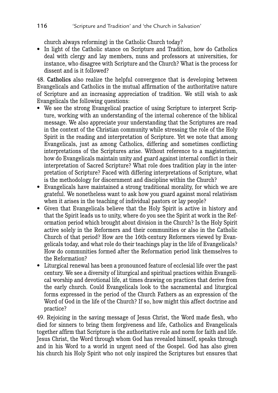church always reforming) in the Catholic Church today?

• In light of the Catholic stance on Scripture and Tradition, how do Catholics deal with clergy and lay members, nuns and professors at universities, for instance, who disagree with Scripture and the Church? What is the process for dissent and is it followed?

48. Catholics also realize the helpful convergence that is developing between Evangelicals and Catholics in the mutual affirmation of the authoritative nature of Scripture and an increasing appreciation of tradition. We still wish to ask Evangelicals the following questions:

- We see the strong Evangelical practice of using Scripture to interpret Scripture, working with an understanding of the internal coherence of the biblical message. We also appreciate your understanding that the Scriptures are read in the context of the Christian community while stressing the role of the Holy Spirit in the reading and interpretation of Scripture. Yet we note that among Evangelicals, just as among Catholics, differing and sometimes conflicting interpretations of the Scriptures arise. Without reference to a magisterium, how do Evangelicals maintain unity and guard against internal conflict in their interpretation of Sacred Scripture? What role does tradition play in the interpretation of Scripture? Faced with differing interpretations of Scripture, what is the methodology for discernment and discipline within the Church?
- Evangelicals have maintained a strong traditional morality, for which we are grateful. We nonetheless want to ask how you guard against moral relativism when it arises in the teaching of individual pastors or lay people?
- Given that Evangelicals believe that the Holy Spirit is active in history and that the Spirit leads us to unity, where do you see the Spirit at work in the Reformation period which brought about division in the Church? Is the Holy Spirit active solely in the Reformers and their communities or also in the Catholic Church of that period? How are the 16th-century Reformers viewed by Evangelicals today, and what role do their teachings play in the life of Evangelicals? How do communities formed after the Reformation period link themselves to the Reformation?
- Liturgical renewal has been a pronounced feature of ecclesial life over the past century. We see a diversity of liturgical and spiritual practices within Evangelical worship and devotional life, at times drawing on practices that derive from the early church. Could Evangelicals look to the sacramental and liturgical forms expressed in the period of the Church Fathers as an expression of the Word of God in the life of the Church? If so, how might this affect doctrine and practice?

49. Rejoicing in the saving message of Jesus Christ, the Word made flesh, who died for sinners to bring them forgiveness and life, Catholics and Evangelicals together affirm that Scripture is the authoritative rule and norm for faith and life. Jesus Christ, the Word through whom God has revealed himself, speaks through and in his Word to a world in urgent need of the Gospel. God has also given his church his Holy Spirit who not only inspired the Scriptures but ensures that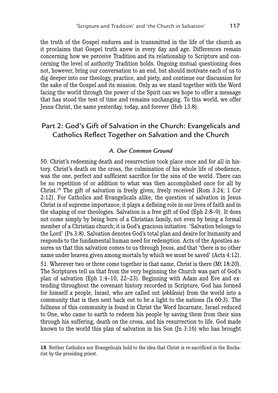the truth of the Gospel endures and is transmitted in the life of the church as it proclaims that Gospel truth anew in every day and age. Differences remain concerning how we perceive Tradition and its relationship to Scripture and concerning the level of authority Tradition holds. Ongoing mutual questioning does not, however, bring our conversation to an end, but should motivate each of us to dig deeper into our theology, practice, and piety, and continue our discussion for the sake of the Gospel and its mission. Only as we stand together with the Word facing the world through the power of the Spirit can we hope to offer a message that has stood the test of time and remains unchanging. To this world, we offer Jesus Christ, the same yesterday, today, and forever (Heb 13:8).

# Part 2: God's Gift of Salvation in the Church: Evangelicals and Catholics Reflect Together on Salvation and the Church

#### *A. Our Common Ground*

50. Christ's redeeming death and resurrection took place once and for all in history. Christ's death on the cross, the culmination of his whole life of obedience, was the one, perfect and sufficient sacrifice for the sins of the world. There can be no repetition of or addition to what was then accomplished once for all by Christ.18 The gift of salvation is freely given, freely received (Rom 3:24; 1 Cor 2:12). For Catholics and Evangelicals alike, the question of salvation in Jesus Christ is of supreme importance; it plays a defining role in our lives of faith and in the shaping of our theologies. Salvation is a free gift of God (Eph 2:8–9). It does not come simply by being born of a Christian family, not even by being a formal member of a Christian church; it is God's gracious initiative. 'Salvation belongs to the Lord' (Ps 3:8). Salvation denotes God's total plan and desire for humanity and responds to the fundamental human need for redemption. Acts of the Apostles assures us that this salvation comes to us through Jesus, and that 'there is no other name under heaven given among mortals by which we must be saved' (Acts 4:12). 51. Wherever two or three come together in that name, Christ is there (Mt 18:20). The Scriptures tell us that from the very beginning the Church was part of God's plan of salvation (Eph 1:4–10, 22–23). Beginning with Adam and Eve and extending throughout the covenant history recorded in Scripture, God has formed for himself a people, Israel, who are called out (*ekklesia*) from the world into a community that is then sent back out to be a light to the nations (Is 60:3). The fullness of this community is found in Christ the Word Incarnate, Israel reduced to One, who came to earth to redeem his people by saving them from their sins through his suffering, death on the cross, and his resurrection to life. God made known to the world this plan of salvation in his Son (Jn 3:16) who has brought

**<sup>18</sup>** Neither Catholics nor Evangelicals hold to the idea that Christ is re-sacrificed in the Eucharist by the presiding priest.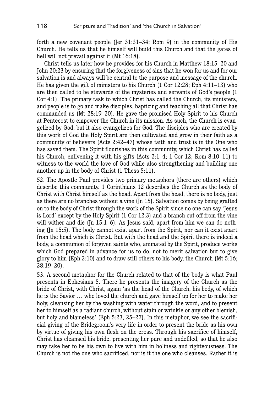forth a new covenant people (Jer 31:31–34; Rom 9) in the community of His Church. He tells us that he himself will build this Church and that the gates of hell will not prevail against it (Mt 16:18).

Christ tells us later how he provides for his Church in Matthew 18:15–20 and John 20:23 by ensuring that the forgiveness of sins that he won for us and for our salvation is and always will be central to the purpose and message of the church. He has given the gift of ministers to his Church (1 Cor 12:28; Eph 4:11–13) who are then called to be stewards of the mysteries and servants of God's people (1 Cor 4:1). The primary task to which Christ has called the Church, its ministers, and people is to go and make disciples, baptizing and teaching all that Christ has commanded us (Mt 28:19–20). He gave the promised Holy Spirit to his Church at Pentecost to empower the Church in its mission. As such, the Church is evangelized by God, but it also evangelizes for God. The disciples who are created by this work of God the Holy Spirit are then cultivated and grow in their faith as a community of believers (Acts 2:42–47) whose faith and trust is in the One who has saved them. The Spirit flourishes in this community, which Christ has called his Church, enlivening it with his gifts (Acts 2:1–4; 1 Cor 12; Rom 8:10–11) to witness to the world the love of God while also strengthening and building one another up in the body of Christ (1 Thess 5:11).

52. The Apostle Paul provides two primary metaphors (there are others) which describe this community. 1 Corinthians 12 describes the Church as the body of Christ with Christ himself as the head. Apart from the head, there is no body, just as there are no branches without a vine (Jn 15). Salvation comes by being grafted on to the body of Christ through the work of the Spirit since no one can say 'Jesus is Lord' except by the Holy Spirit (1 Cor 12:3) and a branch cut off from the vine will wither and die (Jn 15:1–6). As Jesus said, apart from him we can do nothing (Jn 15:5). The body cannot exist apart from the Spirit, nor can it exist apart from the head which is Christ. But with the head and the Spirit there is indeed a body, a communion of forgiven saints who, animated by the Spirit, produce works which God prepared in advance for us to do, not to merit salvation but to give glory to him (Eph 2:10) and to draw still others to his body, the Church (Mt 5:16; 28:19–20).

53. A second metaphor for the Church related to that of the body is what Paul presents in Ephesians 5. There he presents the imagery of the Church as the bride of Christ, with Christ, again 'as the head of the Church, his body, of which he is the Savior … who loved the church and gave himself up for her to make her holy, cleansing her by the washing with water through the word, and to present her to himself as a radiant church, without stain or wrinkle or any other blemish, but holy and blameless' (Eph 5:23, 25–27). In this metaphor, we see the sacrificial giving of the Bridegroom's very life in order to present the bride as his own by virtue of giving his own flesh on the cross. Through his sacrifice of himself, Christ has cleansed his bride, presenting her pure and undefiled, so that he also may take her to be his own to live with him in holiness and righteousness. The Church is not the one who sacrificed, nor is it the one who cleanses. Rather it is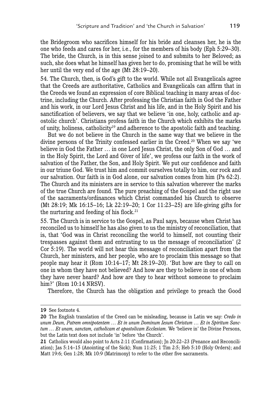the Bridegroom who sacrifices himself for his bride and cleanses her, he is the one who feeds and cares for her, i.e., for the members of his body (Eph 5:29–30). The bride, the Church, is in this sense joined to and submits to her Beloved; as such, she does what he himself has given her to do, promising that he will be with her until the very end of the age (Mt 28:19–20).

54. The Church, then, is God's gift to the world. While not all Evangelicals agree that the Creeds are authoritative, Catholics and Evangelicals can affirm that in the Creeds we found an expression of core Biblical teaching in many areas of doctrine, including the Church. After professing the Christian faith in God the Father and his work, in our Lord Jesus Christ and his life, and in the Holy Spirit and his sanctification of believers, we say that we believe 'in one, holy, catholic and apostolic church'. Christians profess faith in the Church which exhibits the marks of unity, holiness, catholicity19 and adherence to the apostolic faith and teaching.

But we do not believe in the Church in the same way that we believe in the divine persons of the Trinity confessed earlier in the Creed.20 When we say 'we believe in God the Father … in one Lord Jesus Christ, the only Son of God … and in the Holy Spirit, the Lord and Giver of life', we profess our faith in the work of salvation of the Father, the Son, and Holy Spirit. We put our confidence and faith in our triune God. We trust him and commit ourselves totally to him, our rock and our salvation. Our faith is in God alone, our salvation comes from him (Ps 62:2). The Church and its ministers are in service to this salvation wherever the marks of the true Church are found. The pure preaching of the Gospel and the right use of the sacraments/ordinances which Christ commanded his Church to observe (Mt 28:19; Mk 16:15–16; Lk 22:19–20; 1 Cor 11:23–25) are life-giving gifts for the nurturing and feeding of his flock.<sup>21</sup>

55. The Church is in service to the Gospel, as Paul says, because when Christ has reconciled us to himself he has also given to us the ministry of reconciliation, that is, that 'God was in Christ reconciling the world to himself, not counting their trespasses against them and entrusting to us the message of reconciliation' (2 Cor 5:19). The world will not hear this message of reconciliation apart from the Church, her ministers, and her people, who are to proclaim this message so that people may hear it (Rom 10:14–17; Mt 28:19–20). 'But how are they to call on one in whom they have not believed? And how are they to believe in one of whom they have never heard? And how are they to hear without someone to proclaim him?' (Rom 10:14 NRSV).

Therefore, the Church has the obligation and privilege to preach the Good

**<sup>19</sup>** See footnote 4.

**<sup>20</sup>** The English translation of the Creed can be misleading, because in Latin we say: *Credo in unum Deum, Patrem omnipotentem … Et in unum Dominum Iesum Christum … Et in Spiritum Sanctum … Et unam, sanctam, catholicam et apostolicam Ecclesiam.* We 'believe in' the Divine Persons, but the Latin text does not include 'in' before 'the Church'.

**<sup>21</sup>** Catholics would also point to Acts 2:11 (Confirmation); Jn 20:22–23 (Penance and Reconciliation); Jas 5:14–15 (Anointing of the Sick); Num 11:25; 1 Tim 2:5; Heb 5:10 (Holy Orders); and Matt 19:6; Gen 1:28; Mk 10:9 (Matrimony) to refer to the other five sacraments.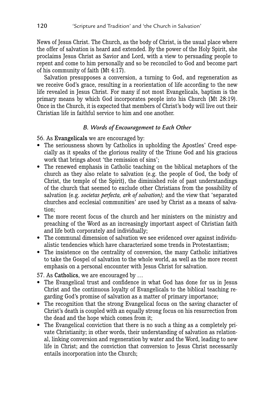News of Jesus Christ. The Church, as the body of Christ, is the usual place where the offer of salvation is heard and extended. By the power of the Holy Spirit, she proclaims Jesus Christ as Savior and Lord, with a view to persuading people to repent and come to him personally and so be reconciled to God and become part of his community of faith (Mt 4:17).

Salvation presupposes a conversion, a turning to God, and regeneration as we receive God's grace, resulting in a reorientation of life according to the new life revealed in Jesus Christ. For many if not most Evangelicals, baptism is the primary means by which God incorporates people into his Church (Mt 28:19). Once in the Church, it is expected that members of Christ's body will live out their Christian life in faithful service to him and one another.

#### *B. Words of Encouragement to Each Other*

56. As Evangelicals we are encouraged by:

- The seriousness shown by Catholics in upholding the Apostles' Creed especially as it speaks of the glorious reality of the Triune God and his gracious work that brings about 'the remission of sins';
- The renewed emphasis in Catholic teaching on the biblical metaphors of the church as they also relate to salvation (e.g. the people of God, the body of Christ, the temple of the Spirit), the diminished role of past understandings of the church that seemed to exclude other Christians from the possibility of salvation (e.g. *societas perfecta, ark of salvation);* and the view that 'separated churches and ecclesial communities' are used by Christ as a means of salvation;
- The more recent focus of the church and her ministers on the ministry and preaching of the Word as an increasingly important aspect of Christian faith and life both corporately and individually;
- The communal dimension of salvation we see evidenced over against individualistic tendencies which have characterized some trends in Protestantism;
- The insistence on the centrality of conversion, the many Catholic initiatives to take the Gospel of salvation to the whole world, as well as the more recent emphasis on a personal encounter with Jesus Christ for salvation.

57. As Catholics, we are encouraged by …

- The Evangelical trust and confidence in what God has done for us in Jesus Christ and the continuous loyalty of Evangelicals to the biblical teaching regarding God's promise of salvation as a matter of primary importance;
- The recognition that the strong Evangelical focus on the saving character of Christ's death is coupled with an equally strong focus on his resurrection from the dead and the hope which comes from it;
- The Evangelical conviction that there is no such a thing as a completely private Christianity; in other words, their understanding of salvation as relational, linking conversion and regeneration by water and the Word, leading to new life in Christ; and the conviction that conversion to Jesus Christ necessarily entails incorporation into the Church;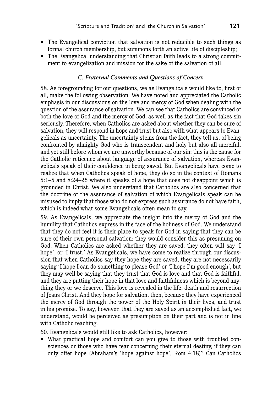- The Evangelical conviction that salvation is not reducible to such things as formal church membership, but summons forth an active life of discipleship;
- The Evangelical understanding that Christian faith leads to a strong commitment to evangelization and mission for the sake of the salvation of all.

#### *C. Fraternal Comments and Questions of Concern*

58. As foregrounding for our questions, we as Evangelicals would like to, first of all, make the following observation. We have noted and appreciated the Catholic emphasis in our discussions on the love and mercy of God when dealing with the question of the assurance of salvation. We can see that Catholics are convinced of both the love of God and the mercy of God, as well as the fact that God takes sin seriously. Therefore, when Catholics are asked about whether they can be sure of salvation, they will respond in hope and trust but also with what appears to Evangelicals as uncertainty. The uncertainty stems from the fact, they tell us, of being confronted by almighty God who is transcendent and holy but also all merciful, and yet still before whom we are unworthy because of our sin; this is the cause for the Catholic reticence about language of assurance of salvation, whereas Evangelicals speak of their confidence in being saved. But Evangelicals have come to realize that when Catholics speak of hope, they do so in the context of Romans 5:1–5 and 8:24–25 where it speaks of a hope that does not disappoint which is grounded in Christ. We also understand that Catholics are also concerned that the doctrine of the assurance of salvation of which Evangelicals speak can be misused to imply that those who do not express such assurance do not have faith, which is indeed what some Evangelicals often mean to say.

59. As Evangelicals, we appreciate the insight into the mercy of God and the humility that Catholics express in the face of the holiness of God. We understand that they do not feel it is their place to speak for God in saying that they can be sure of their own personal salvation: they would consider this as presuming on God. When Catholics are asked whether they are saved, they often will say 'I hope', or 'I trust.' As Evangelicals, we have come to realize through our discussion that when Catholics say they hope they are saved, they are not necessarily saying 'I hope I can do something to please God' or 'I hope I'm good enough', but they may well be saying that they trust that God is love and that God is faithful, and they are putting their hope in that love and faithfulness which is beyond anything they or we deserve. This love is revealed in the life, death and resurrection of Jesus Christ. And they hope for salvation, then, because they have experienced the mercy of God through the power of the Holy Spirit in their lives, and trust in his promise. To say, however, that they are saved as an accomplished fact, we understand, would be perceived as presumption on their part and is not in line with Catholic teaching.

60. Evangelicals would still like to ask Catholics, however:

• What practical hope and comfort can you give to those with troubled consciences or those who have fear concerning their eternal destiny, if they can only offer hope (Abraham's 'hope against hope', Rom 4:18)? Can Catholics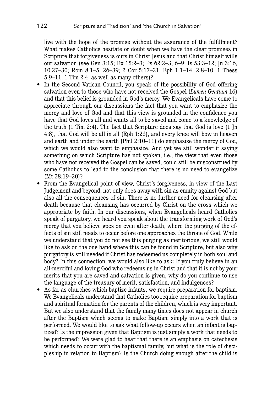live with the hope of the promise without the assurance of the fulfillment? What makes Catholics hesitate or doubt when we have the clear promises in Scripture that forgiveness is ours in Christ Jesus and that Christ himself wills our salvation (see Gen 3:15; Ex 15:2–3; Ps 62:2–3, 6–9; Is 53:3–12; Jn 3:16, 10:27–30; Rom 8:1–5, 26–39; 2 Cor 5:17–21; Eph 1:1–14, 2:8–10; 1 Thess 5:9–11; 1 Tim 2:4; as well as many others)?

- In the Second Vatican Council, you speak of the possibility of God offering salvation even to those who have not received the Gospel (*Lumen Gentium* 16) and that this belief is grounded in God's mercy. We Evangelicals have come to appreciate through our discussions the fact that you want to emphasize the mercy and love of God and that this view is grounded in the confidence you have that God loves all and wants all to be saved and come to a knowledge of the truth (1 Tim 2:4). The fact that Scripture does say that God is love (1 Jn 4:8), that God will be all in all (Eph 1:23), and every knee will bow in heaven and earth and under the earth (Phil 2:10–11) do emphasize the mercy of God, which we would also want to emphasize. And yet we still wonder if saying something on which Scripture has not spoken, i.e., the view that even those who have not received the Gospel can be saved, could still be misconstrued by some Catholics to lead to the conclusion that there is no need to evangelize (Mt 28:19–20)?
- From the Evangelical point of view, Christ's forgiveness, in view of the Last Judgement and beyond, not only does away with sin as enmity against God but also all the consequences of sin. There is no further need for cleansing after death because that cleansing has occurred by Christ on the cross which we appropriate by faith. In our discussions, when Evangelicals heard Catholics speak of purgatory, we heard you speak about the transforming work of God's mercy that you believe goes on even after death, where the purging of the effects of sin still needs to occur before one approaches the throne of God. While we understand that you do not see this purging as meritorious, we still would like to ask on the one hand where this can be found in Scripture, but also why purgatory is still needed if Christ has redeemed us completely in both soul and body? In this connection, we would also like to ask: If you truly believe in an all-merciful and loving God who redeems us in Christ and that it is not by your merits that you are saved and salvation is given, why do you continue to use the language of the treasury of merit, satisfaction, and indulgences?
- As far as churches which baptize infants, we require preparation for baptism. We Evangelicals understand that Catholics too require preparation for baptism and spiritual formation for the parents of the children, which is very important. But we also understand that the family many times does not appear in church after the Baptism which seems to make Baptism simply into a work that is performed. We would like to ask what follow-up occurs when an infant is baptized? Is the impression given that Baptism is just simply a work that needs to be performed? We were glad to hear that there is an emphasis on catechesis which needs to occur with the baptismal family, but what is the role of discipleship in relation to Baptism? Is the Church doing enough after the child is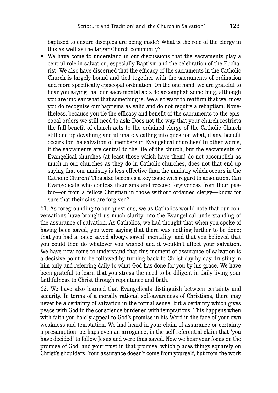baptized to ensure disciples are being made? What is the role of the clergy in this as well as the larger Church community?

• We have come to understand in our discussions that the sacraments play a central role in salvation, especially Baptism and the celebration of the Eucharist. We also have discerned that the efficacy of the sacraments in the Catholic Church is largely bound and tied together with the sacraments of ordination and more specifically episcopal ordination. On the one hand, we are grateful to hear you saying that our sacramental acts do accomplish something, although you are unclear what that something is. We also want to reaffirm that we know you do recognize our baptisms as valid and do not require a rebaptism. Nonetheless, because you tie the efficacy and benefit of the sacraments to the episcopal orders we still need to ask: Does not the way that your church restricts the full benefit of church acts to the ordained clergy of the Catholic Church still end up devaluing and ultimately calling into question what, if any, benefit occurs for the salvation of members in Evangelical churches? In other words, if the sacraments are central to the life of the church, but the sacraments of Evangelical churches (at least those which have them) do not accomplish as much in our churches as they do in Catholic churches, does not that end up saying that our ministry is less effective than the ministry which occurs in the Catholic Church? This also becomes a key issue with regard to absolution. Can Evangelicals who confess their sins and receive forgiveness from their pastor—or from a fellow Christian in those without ordained clergy—know for sure that their sins are forgiven?

61. As foregrounding to our questions, we as Catholics would note that our conversations have brought us much clarity into the Evangelical understanding of the assurance of salvation. As Catholics, we had thought that when you spoke of having been saved, you were saying that there was nothing further to be done; that you had a 'once saved always saved' mentality; and that you believed that you could then do whatever you wished and it wouldn't affect your salvation. We have now come to understand that this moment of assurance of salvation is a decisive point to be followed by turning back to Christ day by day, trusting in him only and referring daily to what God has done for you by his grace. We have been grateful to learn that you stress the need to be diligent in daily living your faithfulness to Christ through repentance and faith.

62. We have also learned that Evangelicals distinguish between certainty and security. In terms of a morally rational self-awareness of Christians, there may never be a certainty of salvation in the formal sense, but a certainty which gives peace with God to the conscience burdened with temptations. This happens when with faith you boldly appeal to God's promise in his Word in the face of your own weakness and temptation. We had heard in your claim of assurance or certainty a presumption, perhaps even an arrogance, in the self-referential claim that 'you have decided' to follow Jesus and were thus saved. Now we hear your focus on the promise of God, and your trust in that promise, which places things squarely on Christ's shoulders. Your assurance doesn't come from yourself, but from the work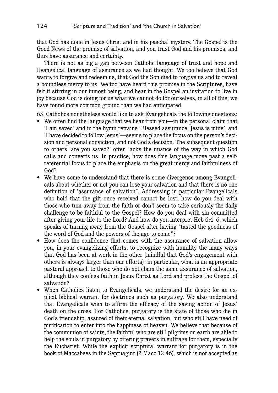that God has done in Jesus Christ and in his paschal mystery. The Gospel is the Good News of the promise of salvation, and you trust God and his promises, and thus have assurance and certainty.

There is not as big a gap between Catholic language of trust and hope and Evangelical language of assurance as we had thought. We too believe that God wants to forgive and redeem us, that God the Son died to forgive us and to reveal a boundless mercy to us. We too have heard this promise in the Scriptures, have felt it stirring in our inmost being, and hear in the Gospel an invitation to live in joy because God is doing for us what we cannot do for ourselves, in all of this, we have found more common ground than we had anticipated.

63. Catholics nonetheless would like to ask Evangelicals the following questions:

- We often find the language that we hear from you—in the personal claim that 'I am saved' and in the hymn refrains 'Blessed assurance, Jesus is mine', and 'I have decided to follow Jesus'—seems to place the focus on the person's decision and personal conviction, and not God's decision. The subsequent question to others 'are you saved?' often lacks the nuance of the way in which God calls and converts us. In practice, how does this language move past a selfreferential focus to place the emphasis on the great mercy and faithfulness of God?
- We have come to understand that there is some divergence among Evangelicals about whether or not you can lose your salvation and that there is no one definition of 'assurance of salvation". Addressing in particular Evangelicals who hold that the gift once received cannot be lost, how do you deal with those who tum away from the faith or don't seem to take seriously the daily challenge to be faithful to the Gospel? How do you deal with sin committed after giving your life to the Lord? And how do you interpret Heb 6:4–6, which speaks of turning away from the Gospel after having "tasted the goodness of the word of God and the powers of the age to come"?
- How does the confidence that comes with the assurance of salvation allow you, in your evangelizing efforts, to recognize with humility the many ways that God has been at work in the other (mindful that God's engagement with others is always larger than our efforts); in particular, what is an appropriate pastoral approach to those who do not claim the same assurance of salvation, although they confess faith in Jesus Christ as Lord and profess the Gospel of salvation?
- When Catholics listen to Evangelicals, we understand the desire for an explicit biblical warrant for doctrines such as purgatory. We also understand that Evangelicals wish to affirm the efficacy of the saving action of Jesus' death on the cross. For Catholics, purgatory is the state of those who die in God's friendship, assured of their eternal salvation, but who still have need of purification to enter into the happiness of heaven. We believe that because of the communion of saints, the faithful who are still pilgrims on earth are able to help the souls in purgatory by offering prayers in suffrage for them, especially the Eucharist. While the explicit scriptural warrant for purgatory is in the book of Maccabees in the Septuagint (2 Macc 12:46), which is not accepted as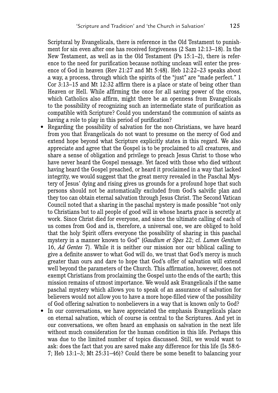Scriptural by Evangelicals, there is reference in the Old Testament to punishment for sin even after one has received forgiveness (2 Sam 12:13–18). In the New Testament, as well as in the Old Testament (Ps 15:1–2), there is reference to the need for purification because nothing unclean will enter the presence of God in heaven (Rev 21:27 and Mt 5:48). Heb 12:22–23 speaks about a way, a process, through which the spirits of the "just" are "made perfect." 1 Cor 3:13–15 and Mt 12:32 affirm there is a place or state of being other than Heaven or Hell. While affirming the once for all saving power of the cross, which Catholics also affirm, might there be an openness from Evangelicals to the possibility of recognizing such an intermediate state of purification as compatible with Scripture? Could you understand the communion of saints as having a role to play in this period of purification?

- Regarding the possibility of salvation for the non-Christians, we have heard from you that Evangelicals do not want to presume on the mercy of God and extend hope beyond what Scripture explicitly states in this regard. We also appreciate and agree that the Gospel is to be proclaimed to all creatures, and share a sense of obligation and privilege to preach Jesus Christ to those who have never heard the Gospel message. Yet faced with those who died without having heard the Gospel preached, or heard it proclaimed in a way that lacked integrity, we would suggest that the great mercy revealed in the Paschal Mystery of Jesus' dying and rising gives us grounds for a profound hope that such persons should not be automatically excluded from God's salvific plan and they too can obtain eternal salvation through Jesus Christ. The Second Vatican Council noted that a sharing in the paschal mystery is made possible "not only to Christians but to all people of good will in whose hearts grace is secretly at work. Since Christ died for everyone, and since the ultimate calling of each of us comes from God and is, therefore, a universal one, we are obliged to hold that the holy Spirit offers everyone the possibility of sharing in this paschal mystery in a manner known to God" (*Gaudium et Spes* 22; cf. *Lumen Gentium*  16, *Ad Gentes* 7). While it is neither our mission nor our biblical calling to give a definite answer to what God will do, we trust that God's mercy is much greater than ours and dare to hope that God's offer of salvation will extend well beyond the parameters of the Church. This affirmation, however, does not exempt Christians from proclaiming the Gospel unto the ends of the earth; this mission remains of utmost importance. We would ask Evangelicals if the same paschal mystery which allows you to speak of an assurance of salvation for believers would not allow you to have a more hope-filled view of the possibility of God offering salvation to nonbelievers in a way that is known only to God?
- In our conversations, we have appreciated the emphasis Evangelicals place on eternal salvation, which of course is central to the Scriptures. And yet in our conversations, we often heard an emphasis on salvation in the next life without much consideration for the human condition in this life. Perhaps this was due to the limited number of topics discussed. Still, we would want to ask: does the fact that you are saved make any difference for this life (Is 58:6- 7; Heb 13:1–3; Mt 25:31–46)? Could there be some benefit to balancing your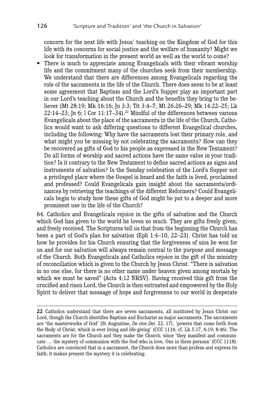concern for the next life with Jesus' teaching on the Kingdom of God for this life with its concerns for social justice and the welfare of humanity? Might we look for transformation in the present world as well as the world to come?

• There is much to appreciate among Evangelicals with their vibrant worship life and the commitment many of the churches seek from their membership. We understand that there are differences among Evangelicals regarding the role of the sacraments in the life of the Church. There does seem to be at least some agreement that Baptism and the Lord's Supper play an important part in our Lord's teaching about the Church and the benefits they bring to the believer (Mt 28:19; Mk 16:16; Jn 3:3; Tit 3:4–7; Mt 26:26–29; Mk 14:22–25; Lk 22:14–23; In 6; 1 Cor  $11:17-34$ .<sup>22</sup> Mindful of the differences between various Evangelicals about the place of the sacraments in the life of the Church, Catholics would want to ask differing questions to different Evangelical churches, including the following: Why have the sacraments lost their primary role, and what might you be missing by not celebrating the sacraments? How can they be recovered as gifts of God to his people as expressed in the New Testament? Do all forms of worship and sacred actions have the same value in your tradition? Is it contrary to the New Testament to define sacred actions as signs and instruments of salvation? Is the Sunday celebration of the Lord's Supper not a privileged place where the Gospel is heard and the faith is lived, proclaimed and professed? Could Evangelicals gain insight about the sacraments/ordinances by retrieving the teachings of the different Reformers? Could Evangelicals begin to study how these gifts of God might be put to a deeper and more prominent use in the life of the Church?

64. Catholics and Evangelicals rejoice in the gifts of salvation and the Church which God has given to the world he loves so much. They are gifts freely given, and freely received. The Scriptures tell us that from the beginning the Church has been a part of God's plan for salvation (Eph 1:4–10, 22–23). Christ has told us how he provides for his Church ensuring that the forgiveness of sins he won for us and for our salvation will always remain central to the purpose and message of the Church. Both Evangelicals and Catholics rejoice in the gift of the ministry of reconciliation which is given to the Church by Jesus Christ. "There is salvation in no one else, for there is no other name under heaven given among mortals by which we must be saved" (Acts 4:12 NRSV). Having received this gift from the crucified and risen Lord, the Church is then entrusted and empowered by the Holy Spirit to deliver that message of hope and forgiveness to our world in desperate

**<sup>22</sup>** Catholics understand that there are seven sacraments, all instituted by Jesus Christ our Lord, though the Church identifies Baptism and Eucharist as major sacraments. The sacraments are 'the masterworks of God' (St Augustine, *De civo Dei.* 22, 17), 'powers that come forth from the Body of Christ, which is ever living and life-giving' (CCC 1116; cf. Lk 5:17, 6:19; 8:46). The sacraments are for the Church and they make the Church, since 'they manifest and communicate … the mystery of communion with the God who is love, One in three persons' (CCC 1118). Catholics are convinced that in a sacrament, the Church does more than profess and express its faith; it makes present the mystery it is celebrating.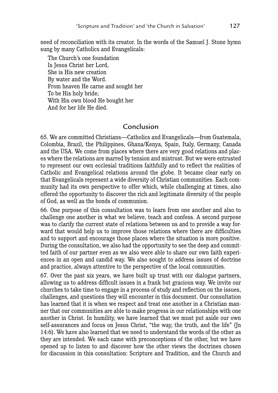need of reconciliation with its creator. In the words of the Samuel J. Stone hymn sung by many Catholics and Evangelicals:

The Church's one foundation Is Jesus Christ her Lord, She is His new creation By water and the Word. From heaven He carne and sought her To be His holy bride; With His own blood He bought her And for her life He died.

# Conclusion

65. We are committed Christians—Catholics and Evangelicals—from Guatemala, Colombia, Brazil, the Philippines, Ghana/Kenya, Spain, Italy, Germany, Canada and the USA. We come from places where there are very good relations and places where the relations are marred by tension and mistrust. But we were entrusted to represent our own ecclesial traditions faithfully and to reflect the realities of Catholic and Evangelical relations around the globe. It became clear early on that Evangelicals represent a wide diversity of Christian communities. Each community had its own perspective to offer which, while challenging at times, also offered the opportunity to discover the rich and legitimate diversity of the people of God, as well as the bonds of communion.

66. One purpose of this consultation was to learn from one another and also to challenge one another in what we believe, teach and confess. A second purpose was to clarify the current state of relations between us and to provide a way forward that would help us to improve those relations where there are difficulties and to support and encourage those places where the situation is more positive. During the consultation, we also had the opportunity to see the deep and committed faith of our partner even as we also were able to share our own faith experiences in an open and candid way. We also sought to address issues of doctrine and practice, always attentive to the perspective of the local communities.

67. Over the past six years, we have built up trust with our dialogue partners, allowing us to address difficult issues in a frank but gracious way. We invite our churches to take time to engage in a process of study and reflection on the issues, challenges, and questions they will encounter in this document. Our consultation has learned that it is when we respect and treat one another in a Christian manner that our communities are able to make progress in our relationships with one another in Christ. In humility, we have learned that we must put aside our own self-assurances and focus on Jesus Christ, "the way, the truth, and the life" (Jn 14:6). We have also learned that we need to understand the words of the other as they are intended. We each came with preconceptions of the other, but we have opened up to listen to and discover how the other views the doctrines chosen for discussion in this consultation: Scripture and Tradition, and the Church and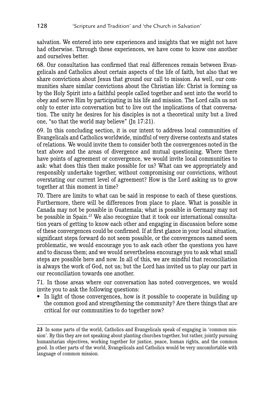salvation. We entered into new experiences and insights that we might not have had otherwise. Through these experiences, we have come to know one another and ourselves better.

68. Our consultation has confirmed that real differences remain between Evangelicals and Catholics about certain aspects of the life of faith, but also that we share convictions about Jesus that ground our call to mission. As well, our communities share similar convictions about the Christian life: Christ is forming us by the Holy Spirit into a faithful people called together and sent into the world to obey and serve Him by participating in his life and mission. The Lord calls us not only to enter into conversation but to live out the implications of that conversation. The unity he desires for his disciples is not a theoretical unity but a lived one, "so that the world may believe" (Jn 17:21).

69. In this concluding section, it is our intent to address local communities of Evangelicals and Catholics worldwide, mindful of very diverse contexts and states of relations. We would invite them to consider both the convergences noted in the text above and the areas of divergence and mutual questioning. Where there have points of agreement or convergence, we would invite local communities to ask: what does this then make possible for us? What can we appropriately and responsibly undertake together, without compromising our convictions, without overstating our current level of agreement? How is the Lord asking us to grow together at this moment in time?

70. There are limits to what can be said in response to each of these questions. Furthermore, there will be differences from place to place. What is possible in Canada may not be possible in Guatemala; what is possible in Germany may not be possible in Spain.23 We also recognize that it took our international consultation years of getting to know each other and engaging in discussion before some of these convergences could be confirmed. If at first glance in your local situation, significant steps forward do not seem possible, or the convergences named seem problematic, we would encourage you to ask each other the questions you have and to discuss them; and we would nevertheless encourage you to ask what small steps are possible here and now. In all of this, we are mindful that reconciliation is always the work of God, not us; but the Lord has invited us to play our part in our reconciliation towards one another.

71. In those areas where our conversation has noted convergences, we would invite you to ask the following questions:

• In light of those convergences, how is it possible to cooperate in building up the common good and strengthening the community? Are there things that are critical for our communities to do together now?

**<sup>23</sup>** In some parts of the world, Catholics and Evangelicals speak of engaging in 'common mission'. By this they are not speaking about planting churches together, but rather, jointly pursuing humanitarian objectives, working together for justice, peace, human rights, and the common good. In other parts of the world, Evangelicals and Catholics would be very uncomfortable with language of common mission.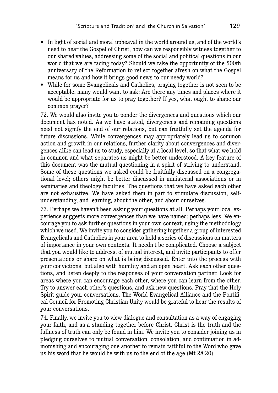- In light of social and moral upheaval in the world around us, and of the world's need to hear the Gospel of Christ, how can we responsibly witness together to our shared values, addressing some of the social and political questions in our world that we are facing today? Should we take the opportunity of the 500th anniversary of the Reformation to reflect together afresh on what the Gospel means for us and how it brings good news to our needy world?
- While for some Evangelicals and Catholics, praying together is not seen to be acceptable, many would want to ask: Are there any times and places where it would be appropriate for us to pray together? If yes, what ought to shape our common prayer?

72. We would also invite you to ponder the divergences and questions which our document has noted. As we have stated, divergences and remaining questions need not signify the end of our relations, but can fruitfully set the agenda for future discussions. While convergences may appropriately lead us to common action and growth in our relations, further clarity about convergences and divergences alike can lead us to study, especially at a local level, so that what we hold in common and what separates us might be better understood. A key feature of this document was the mutual questioning in a spirit of striving to understand. Some of these questions we asked could be fruitfully discussed on a congregational level; others might be better discussed in ministerial associations or in seminaries and theology faculties. The questions that we have asked each other are not exhaustive. We have asked them in part to stimulate discussion, selfunderstanding, and learning, about the other, and about ourselves.

73. Perhaps we haven't been asking your questions at all. Perhaps your local experience suggests more convergences than we have named; perhaps less. We encourage you to ask further questions in your own context, using the methodology which we used. We invite you to consider gathering together a group of interested Evangelicals and Catholics in your area to hold a series of discussions on matters of importance in your own contexts. It needn't be complicated. Choose a subject that you would like to address, of mutual interest, and invite participants to offer presentations or share on what is being discussed. Enter into the process with your convictions, but also with humility and an open heart. Ask each other questions, and listen deeply to the responses of your conversation partner. Look for areas where you can encourage each other, where you can learn from the other. Try to answer each other's questions, and ask new questions. Pray that the Holy Spirit guide your conversations. The World Evangelical Alliance and the Pontifical Council for Promoting Christian Unity would be grateful to hear the results of your conversations.

74. Finally, we invite you to view dialogue and consultation as a way of engaging your faith, and as a standing together before Christ. Christ is the truth and the fullness of truth can only be found in him. We invite you to consider joining us in pledging ourselves to mutual conversation, consolation, and continuation in admonishing and encouraging one another to remain faithful to the Word who gave us his word that he would be with us to the end of the age (Mt 28:20).